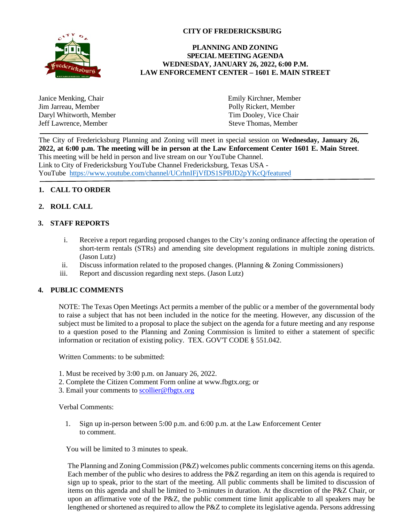

# **CITY OF FREDERICKSBURG**

## **PLANNING AND ZONING SPECIAL MEETING AGENDA WEDNESDAY, JANUARY 26, 2022, 6:00 P.M. LAW ENFORCEMENT CENTER – 1601 E. MAIN STREET**

| Janice Menking, Chair   | Emily Kirchner, Member |
|-------------------------|------------------------|
| Jim Jarreau, Member     | Polly Rickert, Member  |
| Daryl Whitworth, Member | Tim Dooley, Vice Chair |
| Jeff Lawrence, Member   | Steve Thomas, Member   |
|                         |                        |

The City of Fredericksburg Planning and Zoning will meet in special session on **Wednesday, January 26,** 2022, at 6:00 p.m. The meeting will be in person at the Law Enforcement Center 1601 E. Main Street. This meeting will be held in person and live stream on our YouTube Channel. Link to City of Fredericksburg YouTube Channel Fredericksburg, Texas USA - YouTube https://www.youtube.com/channel/UCrhnIFjVfDS1SPBJD2pYKcQ/featured

# **1. CALL TO ORDER**

## **2. ROLL CALL**

#### **3. STAFF REPORTS**

- i. Receive a report regarding proposed changes to the City's zoning ordinance affecting the operation of short-term rentals (STRs) and amending site development regulations in multiple zoning districts. (Jason Lutz)
- ii. Discuss information related to the proposed changes. (Planning & Zoning Commissioners)
- iii. Report and discussion regarding next steps. (Jason Lutz)

## **4. PUBLIC COMMENTS**

NOTE: The Texas Open Meetings Act permits a member of the public or a member of the governmental body to raise a subject that has not been included in the notice for the meeting. However, any discussion of the subject must be limited to a proposal to place the subject on the agenda for a future meeting and any response to a question posed to the Planning and Zoning Commission is limited to either a statement of specific information or recitation of existing policy. TEX. GOV'T CODE § 551.042.

Written Comments: to be submitted:

- 1. Must be received by 3:00 p.m. on January 26, 2022.
- 2. Complete the Citizen Comment Form online at www.fbgtx.org; or
- 3. Email your comments to scollier@fbgtx.org

#### Verbal Comments:

1. Sign up in-person between 5:00 p.m. and 6:00 p.m. at the Law Enforcement Center to comment.

You will be limited to 3 minutes to speak.

The Planning and Zoning Commission (P&Z) welcomes public comments concerning items on this agenda. Each member of the public who desires to address the P&Z regarding an item on this agenda is required to sign up to speak, prior to the start of the meeting. All public comments shall be limited to discussion of items on this agenda and shall be limited to 3-minutes in duration. At the discretion of the P&Z Chair, or upon an affirmative vote of the P&Z, the public comment time limit applicable to all speakers may be lengthened or shortened as required to allow the P&Z to complete its legislative agenda. Persons addressing